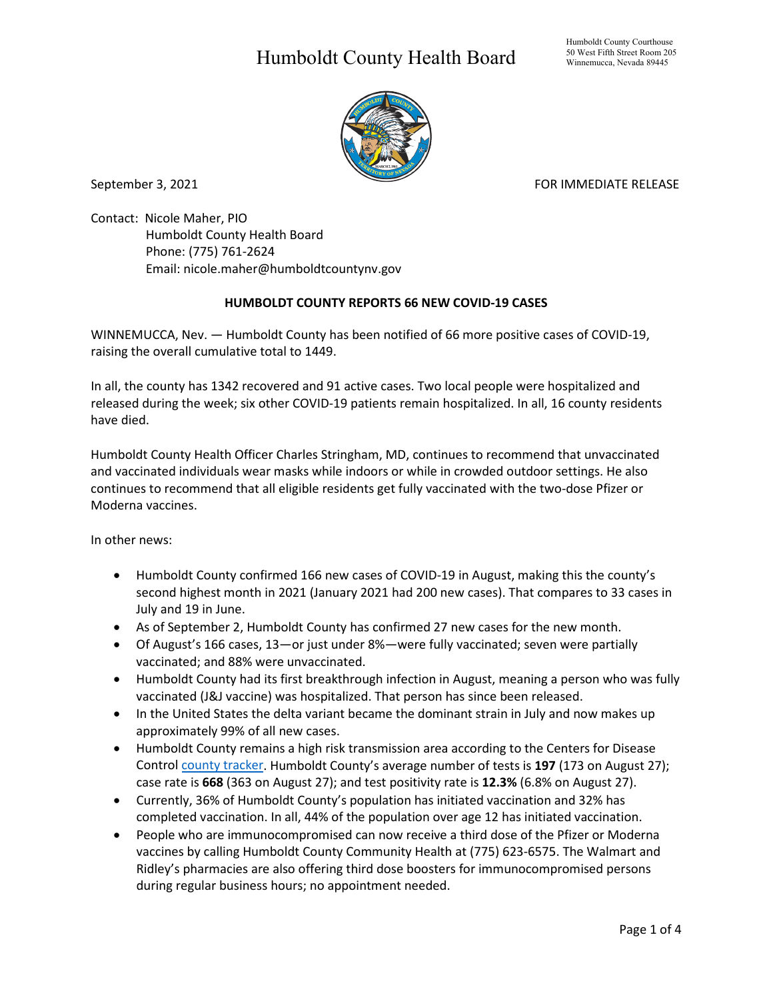## Humboldt County Health Board



September 3, 2021 **FOR IMMEDIATE RELEASE** 

Contact: Nicole Maher, PIO Humboldt County Health Board Phone: (775) 761-2624 Email: nicole.maher@humboldtcountynv.gov

## **HUMBOLDT COUNTY REPORTS 66 NEW COVID-19 CASES**

WINNEMUCCA, Nev. — Humboldt County has been notified of 66 more positive cases of COVID-19, raising the overall cumulative total to 1449.

In all, the county has 1342 recovered and 91 active cases. Two local people were hospitalized and released during the week; six other COVID-19 patients remain hospitalized. In all, 16 county residents have died.

Humboldt County Health Officer Charles Stringham, MD, continues to recommend that unvaccinated and vaccinated individuals wear masks while indoors or while in crowded outdoor settings. He also continues to recommend that all eligible residents get fully vaccinated with the two-dose Pfizer or Moderna vaccines.

In other news:

- Humboldt County confirmed 166 new cases of COVID-19 in August, making this the county's second highest month in 2021 (January 2021 had 200 new cases). That compares to 33 cases in July and 19 in June.
- As of September 2, Humboldt County has confirmed 27 new cases for the new month.
- Of August's 166 cases, 13—or just under 8%—were fully vaccinated; seven were partially vaccinated; and 88% were unvaccinated.
- Humboldt County had its first breakthrough infection in August, meaning a person who was fully vaccinated (J&J vaccine) was hospitalized. That person has since been released.
- In the United States the delta variant became the dominant strain in July and now makes up approximately 99% of all new cases.
- Humboldt County remains a high risk transmission area according to the Centers for Disease Control [county tracker.](https://covid.cdc.gov/covid-data-tracker/#county-view) Humboldt County's average number of tests is **197** (173 on August 27); case rate is **668** (363 on August 27); and test positivity rate is **12.3%** (6.8% on August 27).
- Currently, 36% of Humboldt County's population has initiated vaccination and 32% has completed vaccination. In all, 44% of the population over age 12 has initiated vaccination.
- People who are immunocompromised can now receive a third dose of the Pfizer or Moderna vaccines by calling Humboldt County Community Health at (775) 623-6575. The Walmart and Ridley's pharmacies are also offering third dose boosters for immunocompromised persons during regular business hours; no appointment needed.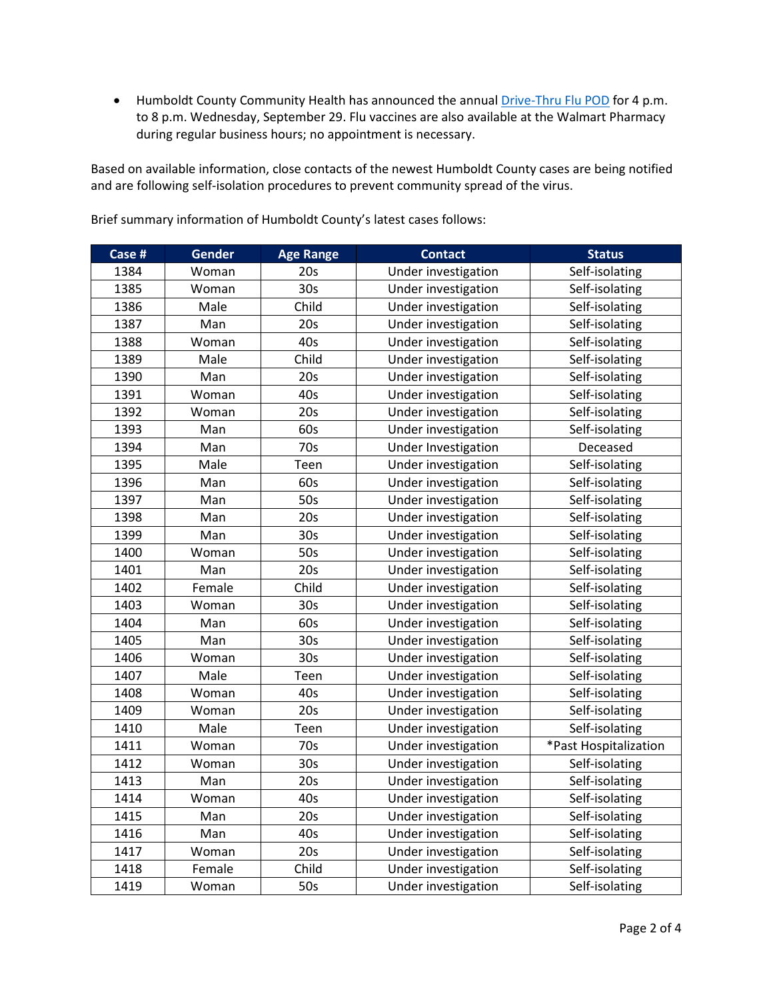• Humboldt County Community Health has announced the annual *Drive-Thru Flu POD* for 4 p.m. to 8 p.m. Wednesday, September 29. Flu vaccines are also available at the Walmart Pharmacy during regular business hours; no appointment is necessary.

Based on available information, close contacts of the newest Humboldt County cases are being notified and are following self-isolation procedures to prevent community spread of the virus.

| Case # | Gender | <b>Age Range</b> | <b>Contact</b>      | <b>Status</b>         |
|--------|--------|------------------|---------------------|-----------------------|
| 1384   | Woman  | 20s              | Under investigation | Self-isolating        |
| 1385   | Woman  | 30 <sub>s</sub>  | Under investigation | Self-isolating        |
| 1386   | Male   | Child            | Under investigation | Self-isolating        |
| 1387   | Man    | 20s              | Under investigation | Self-isolating        |
| 1388   | Woman  | 40s              | Under investigation | Self-isolating        |
| 1389   | Male   | Child            | Under investigation | Self-isolating        |
| 1390   | Man    | 20s              | Under investigation | Self-isolating        |
| 1391   | Woman  | 40s              | Under investigation | Self-isolating        |
| 1392   | Woman  | 20s              | Under investigation | Self-isolating        |
| 1393   | Man    | 60s              | Under investigation | Self-isolating        |
| 1394   | Man    | 70s              | Under Investigation | Deceased              |
| 1395   | Male   | Teen             | Under investigation | Self-isolating        |
| 1396   | Man    | 60s              | Under investigation | Self-isolating        |
| 1397   | Man    | 50s              | Under investigation | Self-isolating        |
| 1398   | Man    | 20s              | Under investigation | Self-isolating        |
| 1399   | Man    | 30s              | Under investigation | Self-isolating        |
| 1400   | Woman  | 50s              | Under investigation | Self-isolating        |
| 1401   | Man    | 20s              | Under investigation | Self-isolating        |
| 1402   | Female | Child            | Under investigation | Self-isolating        |
| 1403   | Woman  | 30s              | Under investigation | Self-isolating        |
| 1404   | Man    | 60s              | Under investigation | Self-isolating        |
| 1405   | Man    | 30 <sub>s</sub>  | Under investigation | Self-isolating        |
| 1406   | Woman  | 30s              | Under investigation | Self-isolating        |
| 1407   | Male   | Teen             | Under investigation | Self-isolating        |
| 1408   | Woman  | 40s              | Under investigation | Self-isolating        |
| 1409   | Woman  | 20s              | Under investigation | Self-isolating        |
| 1410   | Male   | Teen             | Under investigation | Self-isolating        |
| 1411   | Woman  | 70s              | Under investigation | *Past Hospitalization |
| 1412   | Woman  | 30 <sub>s</sub>  | Under investigation | Self-isolating        |
| 1413   | Man    | 20s              | Under investigation | Self-isolating        |
| 1414   | Woman  | 40s              | Under investigation | Self-isolating        |
| 1415   | Man    | 20s              | Under investigation | Self-isolating        |
| 1416   | Man    | 40s              | Under investigation | Self-isolating        |
| 1417   | Woman  | 20s              | Under investigation | Self-isolating        |
| 1418   | Female | Child            | Under investigation | Self-isolating        |
| 1419   | Woman  | 50s              | Under investigation | Self-isolating        |

Brief summary information of Humboldt County's latest cases follows: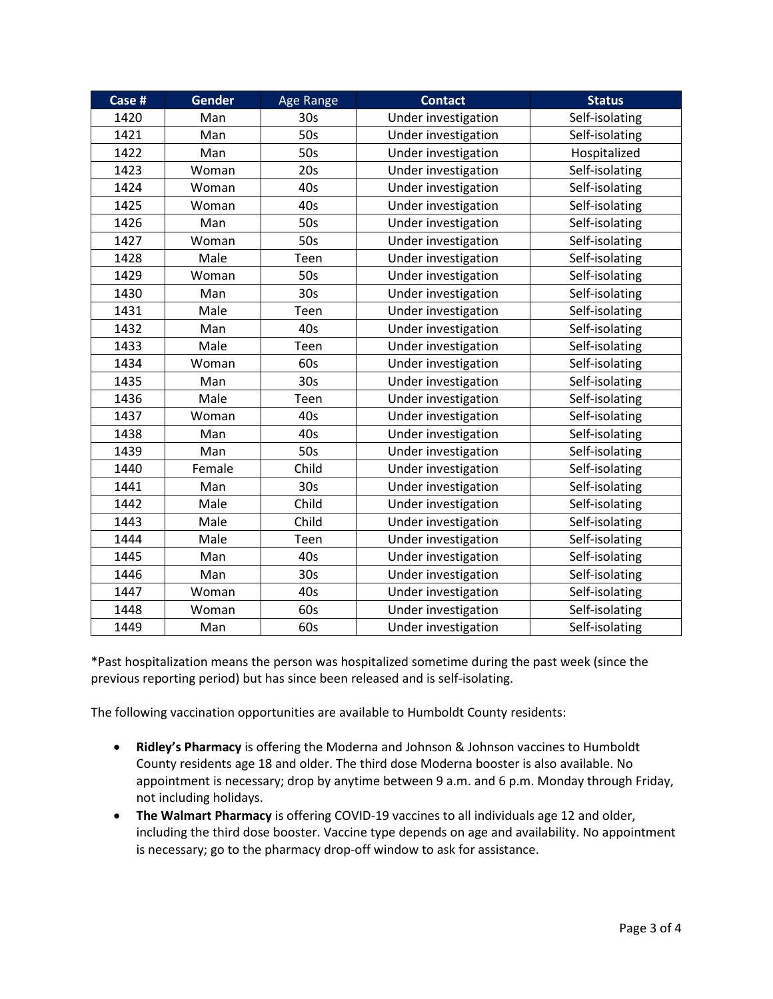| Case # | <b>Gender</b> | <b>Age Range</b> | <b>Contact</b>      | <b>Status</b>  |
|--------|---------------|------------------|---------------------|----------------|
| 1420   | Man           | 30 <sub>s</sub>  | Under investigation | Self-isolating |
| 1421   | Man           | 50s              | Under investigation | Self-isolating |
| 1422   | Man           | 50s              | Under investigation | Hospitalized   |
| 1423   | Woman         | 20s              | Under investigation | Self-isolating |
| 1424   | Woman         | 40s              | Under investigation | Self-isolating |
| 1425   | Woman         | 40s              | Under investigation | Self-isolating |
| 1426   | Man           | 50s              | Under investigation | Self-isolating |
| 1427   | Woman         | 50s              | Under investigation | Self-isolating |
| 1428   | Male          | Teen             | Under investigation | Self-isolating |
| 1429   | Woman         | 50s              | Under investigation | Self-isolating |
| 1430   | Man           | 30s              | Under investigation | Self-isolating |
| 1431   | Male          | Teen             | Under investigation | Self-isolating |
| 1432   | Man           | 40s              | Under investigation | Self-isolating |
| 1433   | Male          | Teen             | Under investigation | Self-isolating |
| 1434   | Woman         | 60s              | Under investigation | Self-isolating |
| 1435   | Man           | 30 <sub>s</sub>  | Under investigation | Self-isolating |
| 1436   | Male          | Teen             | Under investigation | Self-isolating |
| 1437   | Woman         | 40s              | Under investigation | Self-isolating |
| 1438   | Man           | 40s              | Under investigation | Self-isolating |
| 1439   | Man           | 50s              | Under investigation | Self-isolating |
| 1440   | Female        | Child            | Under investigation | Self-isolating |
| 1441   | Man           | 30 <sub>s</sub>  | Under investigation | Self-isolating |
| 1442   | Male          | Child            | Under investigation | Self-isolating |
| 1443   | Male          | Child            | Under investigation | Self-isolating |
| 1444   | Male          | Teen             | Under investigation | Self-isolating |
| 1445   | Man           | 40s              | Under investigation | Self-isolating |
| 1446   | Man           | 30 <sub>s</sub>  | Under investigation | Self-isolating |
| 1447   | Woman         | 40s              | Under investigation | Self-isolating |
| 1448   | Woman         | 60s              | Under investigation | Self-isolating |
| 1449   | Man           | 60s              | Under investigation | Self-isolating |

\*Past hospitalization means the person was hospitalized sometime during the past week (since the previous reporting period) but has since been released and is self-isolating.

The following vaccination opportunities are available to Humboldt County residents:

- **Ridley's Pharmacy** is offering the Moderna and Johnson & Johnson vaccines to Humboldt County residents age 18 and older. The third dose Moderna booster is also available. No appointment is necessary; drop by anytime between 9 a.m. and 6 p.m. Monday through Friday, not including holidays.
- **The Walmart Pharmacy** is offering COVID-19 vaccines to all individuals age 12 and older, including the third dose booster. Vaccine type depends on age and availability. No appointment is necessary; go to the pharmacy drop-off window to ask for assistance.